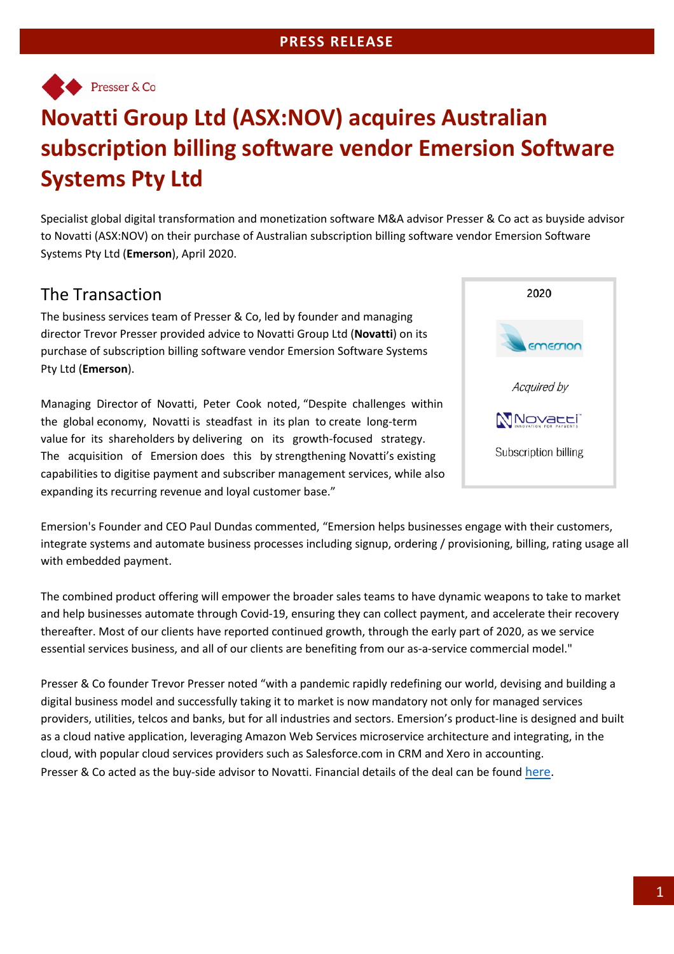

# **Novatti Group Ltd (ASX:NOV) acquires Australian subscription billing software vendor Emersion Software Systems Pty Ltd**

Specialist global digital transformation and monetization software M&A advisor Presser & Co act as buyside advisor to Novatti (ASX:NOV) on their purchase of Australian subscription billing software vendor Emersion Software Systems Pty Ltd (**Emerson**), April 2020.

# The Transaction

The business services team of Presser & Co, led by founder and managing director Trevor Presser provided advice to Novatti Group Ltd (**Novatti**) on its purchase of subscription billing software vendor Emersion Software Systems Pty Ltd (**Emerson**).

Managing Director of Novatti, Peter Cook noted, "Despite challenges within the global economy, Novatti is steadfast in its plan to create long-term value for its shareholders by delivering on its growth-focused strategy. The acquisition of Emersion does this by strengthening Novatti's existing capabilities to digitise payment and subscriber management services, while also expanding its recurring revenue and loyal customer base."



Emersion's Founder and CEO Paul Dundas commented, "Emersion helps businesses engage with their customers, integrate systems and automate business processes including signup, ordering / provisioning, billing, rating usage all with embedded payment.

The combined product offering will empower the broader sales teams to have dynamic weapons to take to market and help businesses automate through Covid-19, ensuring they can collect payment, and accelerate their recovery thereafter. Most of our clients have reported continued growth, through the early part of 2020, as we service essential services business, and all of our clients are benefiting from our as-a-service commercial model."

Presser & Co founder Trevor Presser noted "with a pandemic rapidly redefining our world, devising and building a digital business model and successfully taking it to market is now mandatory not only for managed services providers, utilities, telcos and banks, but for all industries and sectors. Emersion's product-line is designed and built as a cloud native application, leveraging Amazon Web Services microservice architecture and integrating, in the cloud, with popular cloud services providers such as Salesforce.com in CRM and Xero in accounting. Presser & Co acted as the buy-side advisor to Novatti. Financial details of the deal can be found here.